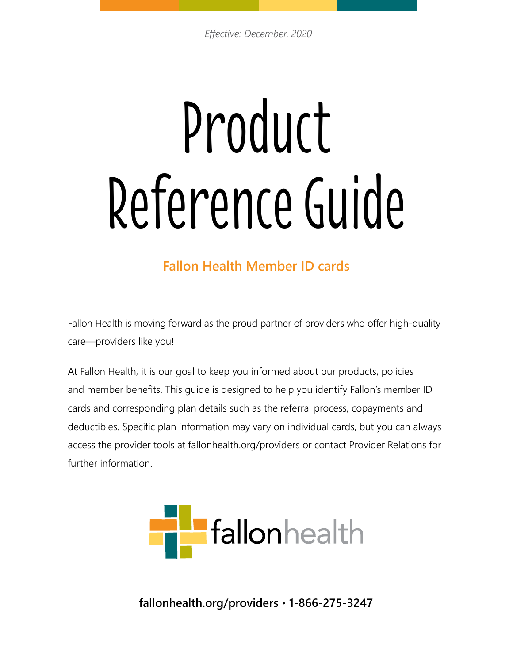# Product Reference Guide

# **Fallon Health Member ID cards**

Fallon Health is moving forward as the proud partner of providers who offer high-quality care—providers like you!

At Fallon Health, it is our goal to keep you informed about our products, policies and member benefits. This guide is designed to help you identify Fallon's member ID cards and corresponding plan details such as the referral process, copayments and deductibles. Specific plan information may vary on individual cards, but you can always access the provider tools at fallonhealth.org/providers or contact Provider Relations for further information.



**fallonhealth.org/providers • 1-866-275-3247**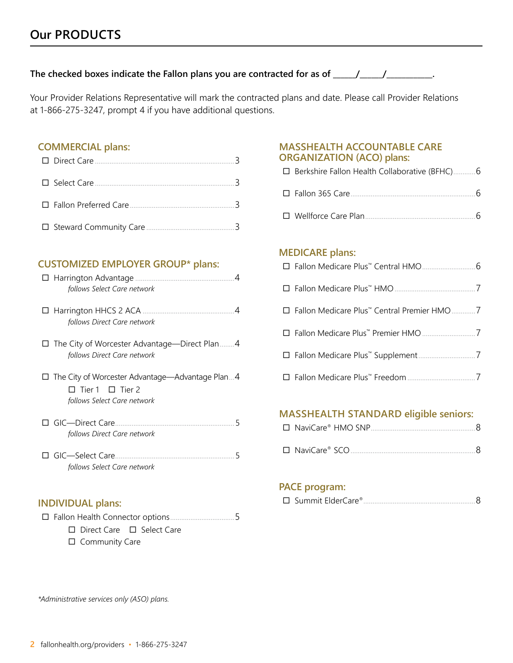# **The checked boxes indicate the Fallon plans you are contracted for as of \_\_\_\_\_\_/\_\_\_\_\_\_/\_\_\_\_\_\_\_\_\_\_\_\_.**

Your Provider Relations Representative will mark the contracted plans and date. Please call Provider Relations at 1-866-275-3247, prompt 4 if you have additional questions.

### **COMMERCIAL plans:**

# **CUSTOMIZED EMPLOYER GROUP\* plans:**

| follows Select Care network                                                                                   |
|---------------------------------------------------------------------------------------------------------------|
| follows Direct Care network                                                                                   |
| $\Box$ The City of Worcester Advantage—Direct Plan4<br>follows Direct Care network                            |
| The City of Worcester Advantage—Advantage Plan4<br>$\Box$ Tier 1 $\Box$ Tier 2<br>follows Select Care network |
| GIC-Direct Care<br>5<br>follows Direct Care network                                                           |
| □ GIC—Select Care<br>5<br>follows Select Care network                                                         |

# **INDIVIDUAL plans:**

¨ Fallon Health Connector options...................................5

- □ Direct Care □ Select Care
- $\square$  Community Care

# **MASSHEALTH ACCOUNTABLE CARE ORGANIZATION (ACO) plans:**

| □ Berkshire Fallon Health Collaborative (BFHC)6 |
|-------------------------------------------------|
|                                                 |
|                                                 |

¨ Wellforce Care Plan............................................................6

### **MEDICARE plans:**

| □ Fallon Medicare Plus <sup>™</sup> Central Premier HMO 7 |  |
|-----------------------------------------------------------|--|
|                                                           |  |
|                                                           |  |
|                                                           |  |

# **MASSHEALTH STANDARD eligible seniors:**

# **PACE program:**

|--|--|--|

*\*Administrative services only (ASO) plans.*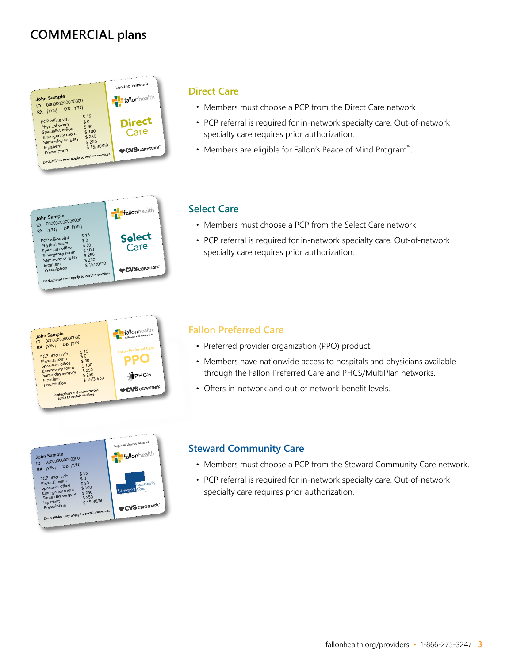

### **Direct Care**

- Members must choose a PCP from the Direct Care network.
- PCP referral is required for in-network specialty care. Out-of-network specialty care requires prior authorization.
- Members are eligible for Fallon's Peace of Mind Program™.



# **Select Care**

- Members must choose a PCP from the Select Care network.
- PCP referral is required for in-network specialty care. Out-of-network specialty care requires prior authorization.



# **Fallon Preferred Care**

- Preferred provider organization (PPO) product.
- Members have nationwide access to hospitals and physicians available through the Fallon Preferred Care and PHCS/MultiPlan networks.
- 



# **Steward Community Care**

- Members must choose a PCP from the Steward Community Care network.
- PCP referral is required for in-network specialty care. Out-of-network specialty care requires prior authorization.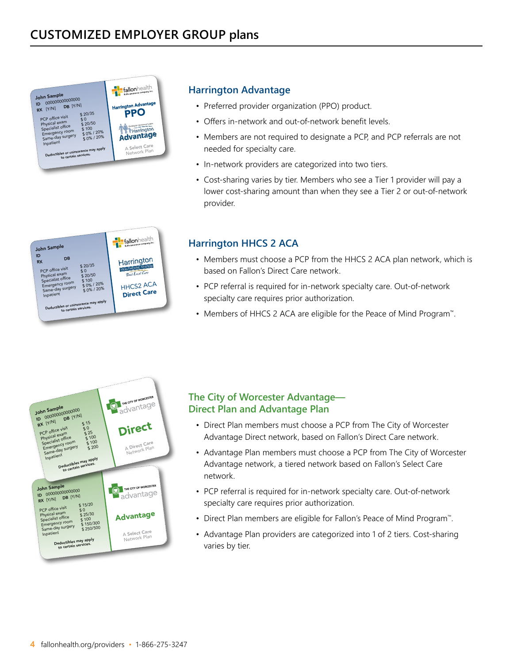

# **Harrington Advantage**

- Preferred provider organization (PPO) product.
- Offers in-network and out-of-network benefit levels.
- Members are not required to designate a PCP, and PCP referrals are not needed for specialty care.
- In-network providers are categorized into two tiers.
- Cost-sharing varies by tier. Members who see a Tier 1 provider will pay a lower cost-sharing amount than when they see a Tier 2 or out-of-network provider.

### fallon health John Sample ID  $RX$  DB Harrington PCP office visit  $\frac{$20/35}{90}$ **HEALT ALTHCARE** PCP office visit 50<br>Physical exam \$ 20/50<br>Specialist office \$ 100 Specialist office for \$100<br>Emergency room for \$0% / 20%<br>Same-day surgery for \$0% / 20% France and the store of the store of the same-day surgery<br>Same-day surgery  $\frac{1}{20\%}/20\%$  HHCS2 ACA Deductibles or coinsurance may apply<br>to certain services.

# **Harrington HHCS 2 ACA**

- Members must choose a PCP from the HHCS 2 ACA plan network, which is based on Fallon's Direct Care network.
- PCP referral is required for in-network specialty care. Out-of-network specialty care requires prior authorization.
- Members of HHCS 2 ACA are eligible for the Peace of Mind Program™.



# **The City of Worcester Advantage— Direct Plan and Advantage Plan**

- Direct Plan members must choose a PCP from The City of Worcester Advantage Direct network, based on Fallon's Direct Care network.
- Advantage Plan members must choose a PCP from The City of Worcester Advantage network, a tiered network based on Fallon's Select Care network.
- PCP referral is required for in-network specialty care. Out-of-network specialty care requires prior authorization.
- Direct Plan members are eligible for Fallon's Peace of Mind Program™.
- Advantage Plan providers are categorized into 1 of 2 tiers. Cost-sharing varies by tier.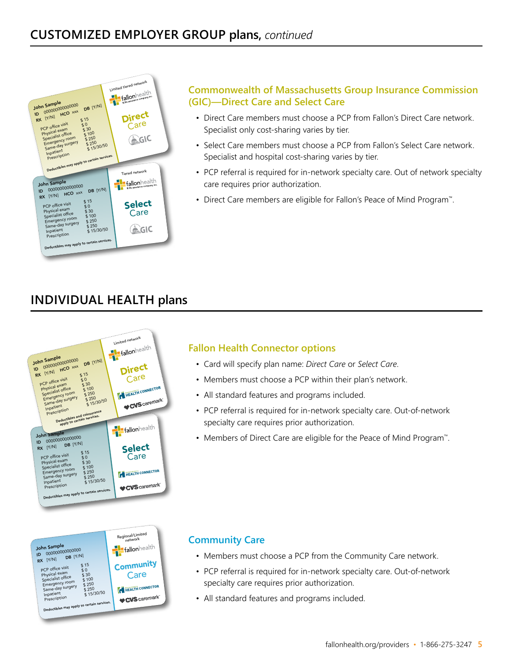

# **Commonwealth of Massachusetts Group Insurance Commission (GIC)—Direct Care and Select Care**

- Direct Care members must choose a PCP from Fallon's Direct Care network. Specialist only cost-sharing varies by tier.
- Select Care members must choose a PCP from Fallon's Select Care network. Specialist and hospital cost-sharing varies by tier.
- PCP referral is required for in-network specialty care. Out of network specialty care requires prior authorization.
- Direct Care members are eligible for Fallon's Peace of Mind Program™.

# **INDIVIDUAL HEALTH plans**





# **Fallon Health Connector options**

- Card will specify plan name: *Direct Care* or *Select Care*.
- Members must choose a PCP within their plan's network.
- All standard features and programs included.
- PCP referral is required for in-network specialty care. Out-of-network specialty care requires prior authorization.
- Members of Direct Care are eligible for the Peace of Mind Program™.

# **Community Care**

- Members must choose a PCP from the Community Care network.
- PCP referral is required for in-network specialty care. Out-of-network specialty care requires prior authorization.
- All standard features and programs included.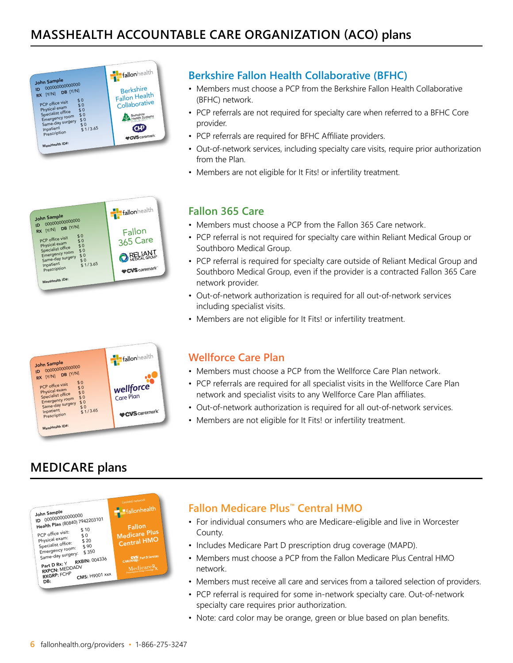



# **Berkshire Fallon Health Collaborative (BFHC)**

- Members must choose a PCP from the Berkshire Fallon Health Collaborative (BFHC) network.
- PCP referrals are not required for specialty care when referred to a BFHC Core provider.
- PCP referrals are required for BFHC Affiliate providers.
- Out-of-network services, including specialty care visits, require prior authorization from the Plan.
- Members are not eligible for It Fits! or infertility treatment.

# **Fallon 365 Care**

- Members must choose a PCP from the Fallon 365 Care network.
- PCP referral is not required for specialty care within Reliant Medical Group or Southboro Medical Group.
- PCP referral is required for specialty care outside of Reliant Medical Group and Southboro Medical Group, even if the provider is a contracted Fallon 365 Care network provider.
- Out-of-network authorization is required for all out-of-network services including specialist visits.
- Members are not eligible for It Fits! or infertility treatment.



# **Wellforce Care Plan**

- Members must choose a PCP from the Wellforce Care Plan network.
- PCP referrals are required for all specialist visits in the Wellforce Care Plan network and specialist visits to any Wellforce Care Plan affiliates.
- Out-of-network authorization is required for all out-of-network services.
- Members are not eligible for It Fits! or infertility treatment.

# **MEDICARE plans**



# **Fallon Medicare Plus™ Central HMO**

- For individual consumers who are Medicare-eligible and live in Worcester County.
- Includes Medicare Part D prescription drug coverage (MAPD).
- Members must choose a PCP from the Fallon Medicare Plus Central HMO network.
- Members must receive all care and services from a tailored selection of providers.
- PCP referral is required for some in-network specialty care. Out-of-network specialty care requires prior authorization.
- Note: card color may be orange, green or blue based on plan benefits.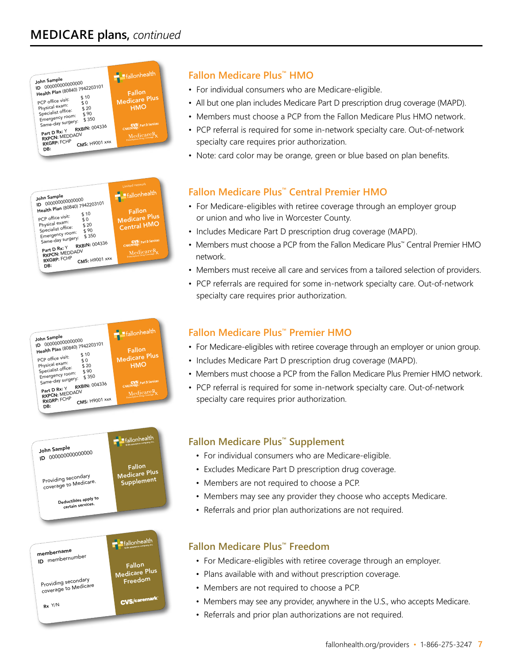









# **Fallon Medicare Plus™ HMO**

- For individual consumers who are Medicare-eligible.
- All but one plan includes Medicare Part D prescription drug coverage (MAPD).
- Members must choose a PCP from the Fallon Medicare Plus HMO network.
- PCP referral is required for some in-network specialty care. Out-of-network specialty care requires prior authorization.
- Note: card color may be orange, green or blue based on plan benefits.

# **Fallon Medicare Plus™ Central Premier HMO**

- For Medicare-eligibles with retiree coverage through an employer group or union and who live in Worcester County.
- Includes Medicare Part D prescription drug coverage (MAPD).
- Members must choose a PCP from the Fallon Medicare Plus™ Central Premier HMO network.
- Members must receive all care and services from a tailored selection of providers.
- PCP referrals are required for some in-network specialty care. Out-of-network specialty care requires prior authorization.

# **Fallon Medicare Plus™ Premier HMO**

- For Medicare-eligibles with retiree coverage through an employer or union group.
- Includes Medicare Part D prescription drug coverage (MAPD).
- Members must choose a PCP from the Fallon Medicare Plus Premier HMO network.
- PCP referral is required for some in-network specialty care. Out-of-network specialty care requires prior authorization.

# **Fallon Medicare Plus™ Supplement**

- For individual consumers who are Medicare-eligible.
- Excludes Medicare Part D prescription drug coverage.
- Members are not required to choose a PCP.
- Members may see any provider they choose who accepts Medicare.
- Referrals and prior plan authorizations are not required.

# **Fallon Medicare Plus™ Freedom**

- For Medicare-eligibles with retiree coverage through an employer.
- Plans available with and without prescription coverage.
- Members are not required to choose a PCP.
- Members may see any provider, anywhere in the U.S., who accepts Medicare.
- Referrals and prior plan authorizations are not required.